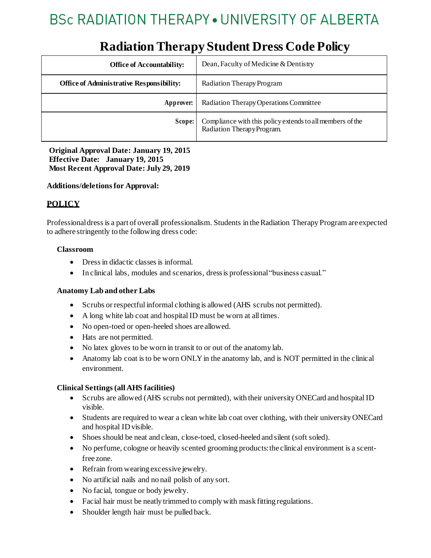# **BSc RADIATION THERAPY • UNIVERSITY OF ALBERTA**

| <b>Office of Accountability:</b>                | Dean, Faculty of Medicine & Dentistry                                                  |
|-------------------------------------------------|----------------------------------------------------------------------------------------|
| <b>Office of Administrative Responsibility:</b> | Radiation Therapy Program                                                              |
| Approver:                                       | Radiation Therapy Operations Committee                                                 |
| Scope:                                          | Compliance with this policy extends to all members of the<br>Radiation TherapyProgram. |

# **Radiation Therapy Student Dress Code Policy**

**Original Approval Date: January 19, 2015 Effective Date: January 19, 2015 Most Recent Approval Date: July 29, 2019**

### **Additions/deletions for Approval:**

# **POLICY**

Professionaldressis a part of overall professionalism. Students in theRadiation Therapy Program are expected to adhere stringently to the following dress code:

### **Classroom**

- Dress in didactic classes is informal.
- In clinical labs, modules and scenarios, dressis professional"business casual."

#### **Anatomy Lab and other Labs**

- Scrubs or respectful informal clothing is allowed (AHS scrubs not permitted).
- A long white lab coat and hospital ID must be worn at all times.
- No open-toed or open-heeled shoes are allowed.
- Hats are not permitted.
- No latex gloves to be worn in transit to or out of the anatomy lab.
- Anatomy lab coat is to be worn ONLY in the anatomy lab, and is NOT permitted in the clinical environment.

#### **Clinical Settings (all AHS facilities)**

- Scrubs are allowed (AHS scrubs not permitted), with their university ONECard and hospital ID visible.
- Students are required to wear a clean white lab coat over clothing, with their university ONECard and hospital IDvisible.
- Shoesshould be neat and clean, close-toed, closed-heeled and silent (soft soled).
- No perfume, cologne or heavily scented grooming products: the clinical environment is a scentfree zone.
- Refrain fromwearing excessive jewelry.
- No artificial nails and no nail polish of any sort.
- No facial, tongue or body jewelry.
- Facial hair must be neatly trimmed to comply with mask fitting regulations.
- Shoulder length hair must be pulled back.